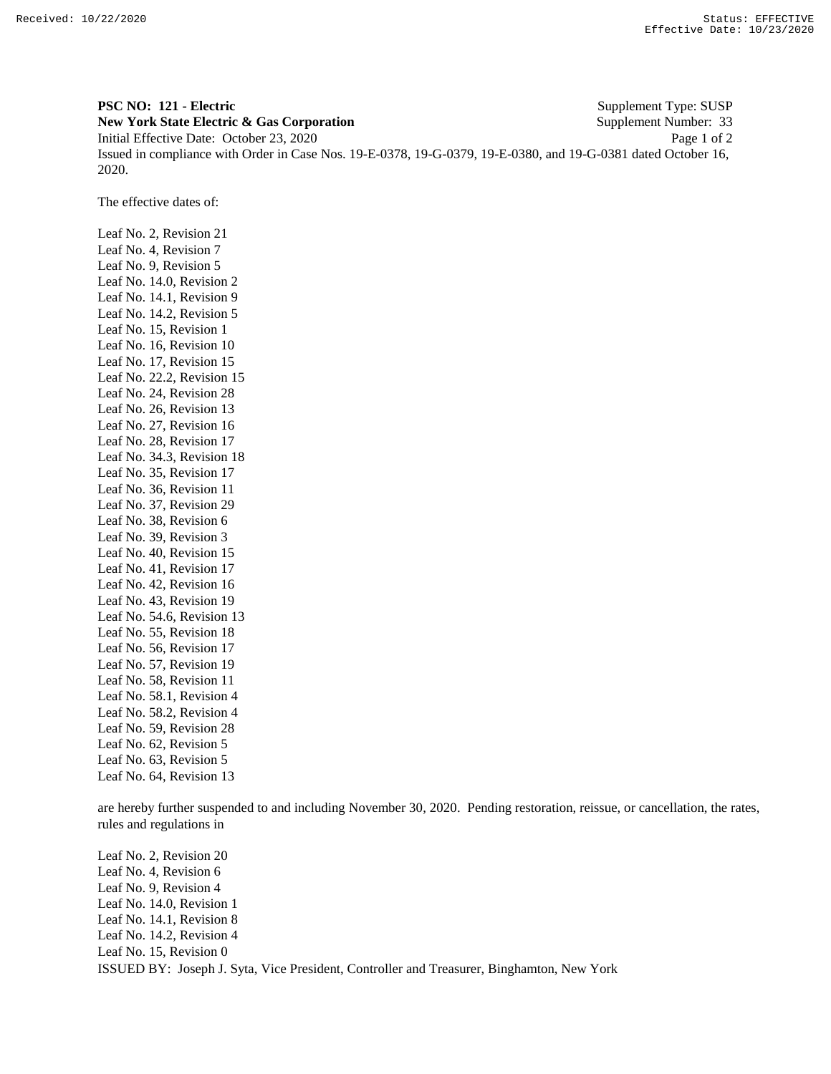**PSC NO: 121 - Electric** Supplement Type: SUSP **New York State Electric & Gas Corporation** Supplement Number: 33 Initial Effective Date: October 23, 2020 Page 1 of 2 Issued in compliance with Order in Case Nos. 19-E-0378, 19-G-0379, 19-E-0380, and 19-G-0381 dated October 16, 2020.

The effective dates of:

Leaf No. 2, Revision 21 Leaf No. 4, Revision 7 Leaf No. 9, Revision 5 Leaf No. 14.0, Revision 2 Leaf No. 14.1, Revision 9 Leaf No. 14.2, Revision 5 Leaf No. 15, Revision 1 Leaf No. 16, Revision 10 Leaf No. 17, Revision 15 Leaf No. 22.2, Revision 15 Leaf No. 24, Revision 28 Leaf No. 26, Revision 13 Leaf No. 27, Revision 16 Leaf No. 28, Revision 17 Leaf No. 34.3, Revision 18 Leaf No. 35, Revision 17 Leaf No. 36, Revision 11 Leaf No. 37, Revision 29 Leaf No. 38, Revision 6 Leaf No. 39, Revision 3 Leaf No. 40, Revision 15 Leaf No. 41, Revision 17 Leaf No. 42, Revision 16 Leaf No. 43, Revision 19 Leaf No. 54.6, Revision 13 Leaf No. 55, Revision 18 Leaf No. 56, Revision 17 Leaf No. 57, Revision 19 Leaf No. 58, Revision 11 Leaf No. 58.1, Revision 4 Leaf No. 58.2, Revision 4 Leaf No. 59, Revision 28 Leaf No. 62, Revision 5 Leaf No. 63, Revision 5 Leaf No. 64, Revision 13

are hereby further suspended to and including November 30, 2020. Pending restoration, reissue, or cancellation, the rates, rules and regulations in

ISSUED BY: Joseph J. Syta, Vice President, Controller and Treasurer, Binghamton, New York Leaf No. 2, Revision 20 Leaf No. 4, Revision 6 Leaf No. 9, Revision 4 Leaf No. 14.0, Revision 1 Leaf No. 14.1, Revision 8 Leaf No. 14.2, Revision 4 Leaf No. 15, Revision 0